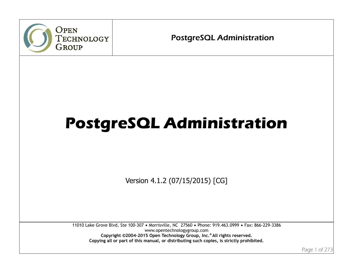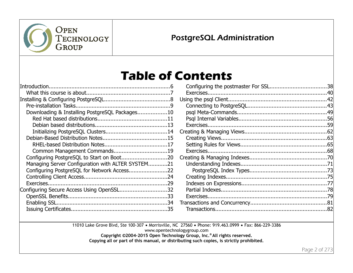

# **Table of Contents**

| Downloading & Installing PostgreSQL Packages10    |  |
|---------------------------------------------------|--|
|                                                   |  |
|                                                   |  |
|                                                   |  |
|                                                   |  |
|                                                   |  |
|                                                   |  |
|                                                   |  |
| Managing Server Configuration with ALTER SYSTEM21 |  |
|                                                   |  |
|                                                   |  |
|                                                   |  |
| Configuring Secure Access Using OpenSSL32         |  |
|                                                   |  |
|                                                   |  |
|                                                   |  |

11010 Lake Grove Blvd, Ste 100-307 · Morrisville, NC 27560 · Phone: 919.463.0999 · Fax: 866-229-3386 www.opentechnologygroup.com **Copyright ©2004-2015 Open Technology Group, Inc.® All rights reserved.**

**Copying all or part of this manual, or distributing such copies, is strictly prohibited.**

Page 2 of 273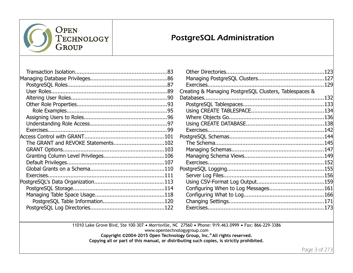

| The GRANT and REVOKE Statements102 |  |
|------------------------------------|--|
|                                    |  |
|                                    |  |
|                                    |  |
|                                    |  |
|                                    |  |
|                                    |  |
|                                    |  |
|                                    |  |
|                                    |  |
|                                    |  |
|                                    |  |

| Creating & Managing PostgreSQL Clusters, Tablespaces & |  |
|--------------------------------------------------------|--|
|                                                        |  |
|                                                        |  |
|                                                        |  |
|                                                        |  |
|                                                        |  |
|                                                        |  |
|                                                        |  |
|                                                        |  |
|                                                        |  |
|                                                        |  |
|                                                        |  |
|                                                        |  |
|                                                        |  |
|                                                        |  |
|                                                        |  |
|                                                        |  |
|                                                        |  |
|                                                        |  |

11010 Lake Grove Blvd, Ste 100-307 · Morrisville, NC 27560 · Phone: 919.463.0999 · Fax: 866-229-3386 www.opentechnologygroup.com **Copyright ©2004-2015 Open Technology Group, Inc.® All rights reserved.**

**Copying all or part of this manual, or distributing such copies, is strictly prohibited.**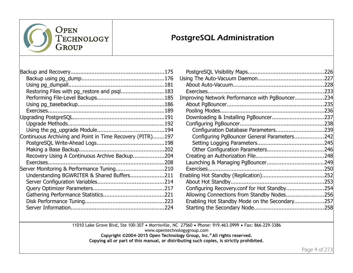

| Restoring Files with pg_restore and psql183               |  |
|-----------------------------------------------------------|--|
|                                                           |  |
|                                                           |  |
|                                                           |  |
|                                                           |  |
|                                                           |  |
|                                                           |  |
| Continuous Archiving and Point in Time Recovery (PITR)197 |  |
|                                                           |  |
|                                                           |  |
| Recovery Using A Continuous Archive Backup204             |  |
|                                                           |  |
|                                                           |  |
| Understanding BGWRITER & Shared Buffers211                |  |
|                                                           |  |
|                                                           |  |
|                                                           |  |
|                                                           |  |
|                                                           |  |
|                                                           |  |

| Improving Network Performance with PgBouncer234 |  |
|-------------------------------------------------|--|
|                                                 |  |
|                                                 |  |
|                                                 |  |
|                                                 |  |
| Configuration Database Parameters239            |  |
| Configuring PgBouncer General Parameters242     |  |
|                                                 |  |
|                                                 |  |
|                                                 |  |
|                                                 |  |
|                                                 |  |
|                                                 |  |
|                                                 |  |
| Configuring Recovery.conf for Hot Standby254    |  |
| Allowing Connections from Standby Nodes256      |  |
| Enabling Hot Standby Mode on the Secondary257   |  |
|                                                 |  |
|                                                 |  |

11010 Lake Grove Blvd, Ste 100-307 · Morrisville, NC 27560 · Phone: 919.463.0999 · Fax: 866-229-3386 www.opentechnologygroup.com **Copyright ©2004-2015 Open Technology Group, Inc.® All rights reserved. Copying all or part of this manual, or distributing such copies, is strictly prohibited.**

Page 4 of 273